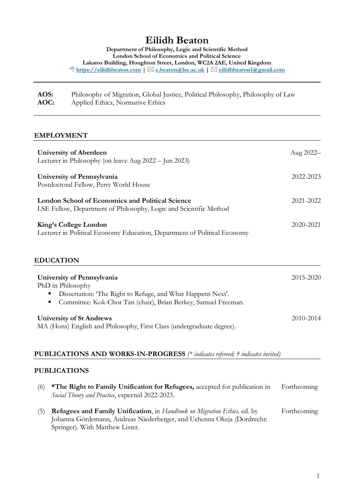# **Eilidh Beaton**

**Department of Philosophy, Logic and Scientific Method London School of Economics and Political Science Lakatos Building, Houghton Street, London, WC2A 2AE, United Kingdom [https://eilidhbeaton.com](https://eilidhbeaton.com/) | [e.beaton@lse.ac.uk](mailto:e.beaton@lse.ac.uk) | [eilidhbeaton1@gmail.com](mailto:eilidhbeaton1@gmail.com)**

| AOS: | Philosophy of Migration, Global Justice, Political Philosophy, Philosophy of Law |
|------|----------------------------------------------------------------------------------|
| AOC: | Applied Ethics, Normative Ethics                                                 |

#### **EMPLOYMENT**

| <b>University of Aberdeen</b><br>Lecturer in Philosophy (on leave Aug 2022 – Jun 2023)                                       | Aug 2022- |
|------------------------------------------------------------------------------------------------------------------------------|-----------|
| University of Pennsylvania<br>Postdoctoral Fellow, Perry World House                                                         | 2022-2023 |
| <b>London School of Economics and Political Science</b><br>LSE Fellow, Department of Philosophy, Logic and Scientific Method | 2021-2022 |
| King's College London<br>Lecturer in Political Economy Education, Department of Political Economy                            | 2020-2021 |
| <b>EDUCATION</b>                                                                                                             |           |
| University of Pennsylvania<br>PhD in Philosophy<br>Dissertation: 'The Right to Refuge, and What Happens Next'.<br>ш          | 2015-2020 |

▪ Committee: Kok-Chor Tan (chair), Brian Berkey, Samuel Freeman.

| <b>University of St Andrews</b>                                       | 2010-2014 |
|-----------------------------------------------------------------------|-----------|
| MA (Hons) English and Philosophy, First Class (undergraduate degree). |           |

#### **PUBLICATIONS AND WORKS-IN-PROGRESS** *(\* indicates refereed; † indicates invited)*

#### **PUBLICATIONS**

- (6) **\*The Right to Family Unification for Refugees,** accepted for publication in *Social Theory and Practice*, expected 2022-2023. Forthcoming (5) **Refugees and Family Unification**, in *Handbook on Migration Ethics,* ed. by Johanna Gördemann, Andreas Niederberger, and Uchenna Okeja (Dordrecht: Forthcoming
	- Springer). With Matthew Lister.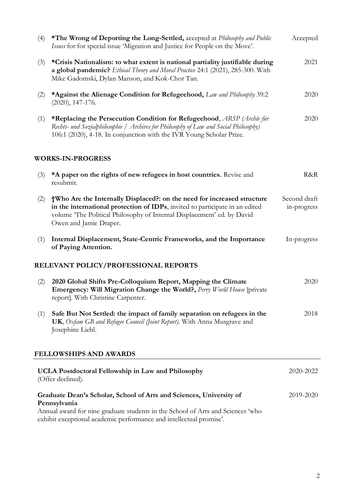| (4) | *The Wrong of Deporting the Long-Settled, accepted at Philosophy and Public<br>Issues for for special issue 'Migration and Justice for People on the Move'.                                                                                                  | Accepted                    |
|-----|--------------------------------------------------------------------------------------------------------------------------------------------------------------------------------------------------------------------------------------------------------------|-----------------------------|
| (3) | *Crisis Nationalism: to what extent is national partiality justifiable during<br>a global pandemic? Ethical Theory and Moral Practice 24:1 (2021), 285-300. With<br>Mike Gadomski, Dylan Manson, and Kok-Chor Tan.                                           | 2021                        |
| (2) | *Against the Alienage Condition for Refugeehood, Law and Philosophy 39:2<br>$(2020), 147-176.$                                                                                                                                                               | 2020                        |
| (1) | *Replacing the Persecution Condition for Refugeehood, ARSP (Archiv für<br>Rechts- und Sozialphilosophie / Archives for Philosophy of Law and Social Philosophy)<br>106:1 (2020), 4-18. In conjunction with the IVR Young Scholar Prize.                      | 2020                        |
|     | <b>WORKS-IN-PROGRESS</b>                                                                                                                                                                                                                                     |                             |
| (3) | *A paper on the rights of new refugees in host countries. Revise and<br>resubmit.                                                                                                                                                                            | R&R                         |
| (2) | †Who Are the Internally Displaced?: on the need for increased structure<br>in the international protection of IDPs, invited to participate in an edited<br>volume 'The Political Philosophy of Internal Displacement' ed. by David<br>Owen and Jamie Draper. | Second draft<br>in-progress |
| (1) | Internal Displacement, State-Centric Frameworks, and the Importance<br>of Paying Attention.                                                                                                                                                                  | In-progress                 |
|     | RELEVANT POLICY/PROFESSIONAL REPORTS                                                                                                                                                                                                                         |                             |
| (2) | 2020 Global Shifts Pre-Colloquium Report, Mapping the Climate<br>Emergency: Will Migration Change the World?, Perry World House [private<br>report]. With Christine Carpenter.                                                                               | 2020                        |
| (1) | Safe But Not Settled: the impact of family separation on refugees in the<br>UK, Oxfam GB and Refugee Council (Joint Report). With Anna Musgrave and<br>Josephine Liebl.                                                                                      | 2018                        |
|     | <b>FELLOWSHIPS AND AWARDS</b>                                                                                                                                                                                                                                |                             |
|     | <b>UCLA Postdoctoral Fellowship in Law and Philosophy</b><br>(Offer declined).                                                                                                                                                                               | 2020-2022                   |
|     | Graduate Dean's Scholar, School of Arts and Sciences, University of<br>Pennsylvania<br>Annual award for nine graduate students in the School of Arts and Sciences 'who<br>exhibit exceptional academic performance and intellectual promise'.                | 2019-2020                   |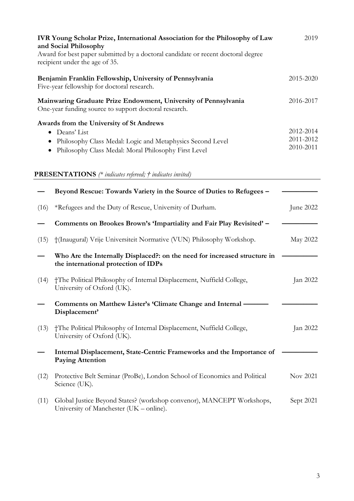| IVR Young Scholar Prize, International Association for the Philosophy of Law<br>and Social Philosophy<br>Award for best paper submitted by a doctoral candidate or recent doctoral degree<br>recipient under the age of 35. |                                                                                                                                                                                 | 2019                                |
|-----------------------------------------------------------------------------------------------------------------------------------------------------------------------------------------------------------------------------|---------------------------------------------------------------------------------------------------------------------------------------------------------------------------------|-------------------------------------|
|                                                                                                                                                                                                                             | Benjamin Franklin Fellowship, University of Pennsylvania<br>Five-year fellowship for doctoral research.                                                                         | 2015-2020                           |
|                                                                                                                                                                                                                             | Mainwaring Graduate Prize Endowment, University of Pennsylvania<br>One-year funding source to support doctoral research.                                                        | 2016-2017                           |
|                                                                                                                                                                                                                             | Awards from the University of St Andrews<br>• Deans' List<br>Philosophy Class Medal: Logic and Metaphysics Second Level<br>Philosophy Class Medal: Moral Philosophy First Level | 2012-2014<br>2011-2012<br>2010-2011 |
|                                                                                                                                                                                                                             | <b>PRESENTATIONS</b> (* indicates refereed; † indicates invited)                                                                                                                |                                     |
| (16)                                                                                                                                                                                                                        | Beyond Rescue: Towards Variety in the Source of Duties to Refugees -<br>*Refugees and the Duty of Rescue, University of Durham.                                                 | June 2022                           |
|                                                                                                                                                                                                                             | Comments on Brookes Brown's 'Impartiality and Fair Play Revisited' -                                                                                                            |                                     |
| (15)                                                                                                                                                                                                                        | †(Inaugural) Vrije Universiteit Normative (VUN) Philosophy Workshop.                                                                                                            | May 2022                            |
|                                                                                                                                                                                                                             | Who Are the Internally Displaced?: on the need for increased structure in<br>the international protection of IDPs                                                               |                                     |
| (14)                                                                                                                                                                                                                        | †The Political Philosophy of Internal Displacement, Nuffield College,<br>University of Oxford (UK).                                                                             | Jan 2022                            |
|                                                                                                                                                                                                                             | Comments on Matthew Lister's 'Climate Change and Internal -<br>Displacement'                                                                                                    |                                     |
| (13)                                                                                                                                                                                                                        | †The Political Philosophy of Internal Displacement, Nuffield College,<br>University of Oxford (UK).                                                                             | Jan 2022                            |
|                                                                                                                                                                                                                             | Internal Displacement, State-Centric Frameworks and the Importance of<br><b>Paying Attention</b>                                                                                |                                     |
| (12)                                                                                                                                                                                                                        | Protective Belt Seminar (ProBe), London School of Economics and Political<br>Science (UK).                                                                                      | Nov 2021                            |
| (11)                                                                                                                                                                                                                        | Global Justice Beyond States? (workshop convenor), MANCEPT Workshops,<br>University of Manchester (UK – online).                                                                | Sept 2021                           |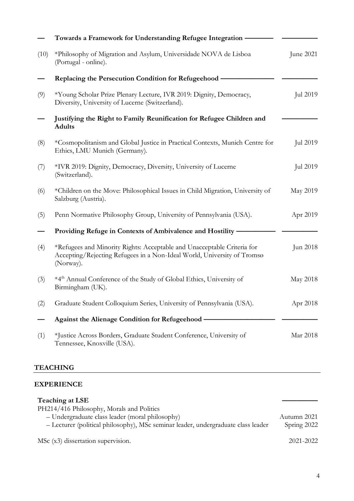|      | Towards a Framework for Understanding Refugee Integration                                                                                                       |           |
|------|-----------------------------------------------------------------------------------------------------------------------------------------------------------------|-----------|
| (10) | *Philosophy of Migration and Asylum, Universidade NOVA de Lisboa<br>(Portugal - online).                                                                        | June 2021 |
|      | Replacing the Persecution Condition for Refugeehood -                                                                                                           |           |
| (9)  | *Young Scholar Prize Plenary Lecture, IVR 2019: Dignity, Democracy,<br>Diversity, University of Lucerne (Switzerland).                                          | Jul 2019  |
|      | Justifying the Right to Family Reunification for Refugee Children and<br><b>Adults</b>                                                                          |           |
| (8)  | *Cosmopolitanism and Global Justice in Practical Contexts, Munich Centre for<br>Ethics, LMU Munich (Germany).                                                   | Jul 2019  |
| (7)  | *IVR 2019: Dignity, Democracy, Diversity, University of Lucerne<br>(Switzerland).                                                                               | Jul 2019  |
| (6)  | *Children on the Move: Philosophical Issues in Child Migration, University of<br>Salzburg (Austria).                                                            | May 2019  |
| (5)  | Penn Normative Philosophy Group, University of Pennsylvania (USA).                                                                                              | Apr 2019  |
|      | Providing Refuge in Contexts of Ambivalence and Hostility -                                                                                                     |           |
| (4)  | *Refugees and Minority Rights: Acceptable and Unacceptable Criteria for<br>Accepting/Rejecting Refugees in a Non-Ideal World, University of Tromsø<br>(Norway). | Jun 2018  |
| (3)  | *4 <sup>th</sup> Annual Conference of the Study of Global Ethics, University of<br>Birmingham (UK).                                                             | May 2018  |
| (2)  | Graduate Student Colloquium Series, University of Pennsylvania (USA).                                                                                           | Apr 2018  |
|      | Against the Alienage Condition for Refugeehood -                                                                                                                |           |
| (1)  | *Justice Across Borders, Graduate Student Conference, University of<br>Tennessee, Knoxville (USA).                                                              | Mar 2018  |

## **TEACHING**

### **EXPERIENCE**

| Teaching at LSE                                                                                                                      |                            |
|--------------------------------------------------------------------------------------------------------------------------------------|----------------------------|
| PH214/416 Philosophy, Morals and Politics                                                                                            |                            |
| - Undergraduate class leader (moral philosophy)<br>- Lecturer (political philosophy), MSc seminar leader, undergraduate class leader | Autumn 2021<br>Spring 2022 |
| MSc (x3) dissertation supervision.                                                                                                   | 2021-2022                  |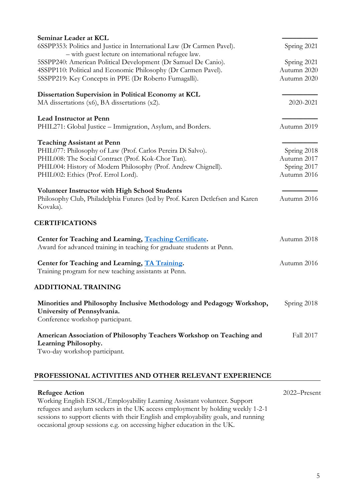| Seminar Leader at KCL                                                                                                                     |             |
|-------------------------------------------------------------------------------------------------------------------------------------------|-------------|
| 6SSPP353: Politics and Justice in International Law (Dr Carmen Pavel).                                                                    | Spring 2021 |
| - with guest lecture on international refugee law.                                                                                        |             |
| 5SSPP240: American Political Development (Dr Samuel De Canio).                                                                            | Spring 2021 |
| 4SSPP110: Political and Economic Philosophy (Dr Carmen Pavel).                                                                            | Autumn 2020 |
| 5SSPP219: Key Concepts in PPE (Dr Roberto Fumagalli).                                                                                     | Autumn 2020 |
| Dissertation Supervision in Political Economy at KCL                                                                                      |             |
| MA dissertations (x6), BA dissertations (x2).                                                                                             | 2020-2021   |
| <b>Lead Instructor at Penn</b>                                                                                                            |             |
| PHIL271: Global Justice – Immigration, Asylum, and Borders.                                                                               | Autumn 2019 |
| <b>Teaching Assistant at Penn</b>                                                                                                         |             |
| PHIL077: Philosophy of Law (Prof. Carlos Pereira Di Salvo).                                                                               | Spring 2018 |
| PHIL008: The Social Contract (Prof. Kok-Chor Tan).                                                                                        | Autumn 2017 |
| PHIL004: History of Modern Philosophy (Prof. Andrew Chignell).                                                                            | Spring 2017 |
| PHIL002: Ethics (Prof. Errol Lord).                                                                                                       | Autumn 2016 |
| <b>Volunteer Instructor with High School Students</b>                                                                                     |             |
| Philosophy Club, Philadelphia Futures (led by Prof. Karen Detlefsen and Karen<br>Kovaka).                                                 | Autumn 2016 |
| <b>CERTIFICATIONS</b>                                                                                                                     |             |
| Center for Teaching and Learning, Teaching Certificate.<br>Award for advanced training in teaching for graduate students at Penn.         | Autumn 2018 |
| Center for Teaching and Learning, TA Training.                                                                                            | Autumn 2016 |
| Training program for new teaching assistants at Penn.                                                                                     |             |
| <b>ADDITIONAL TRAINING</b>                                                                                                                |             |
| Minorities and Philosophy Inclusive Methodology and Pedagogy Workshop,<br>University of Pennsylvania.<br>Conference workshop participant. | Spring 2018 |
| American Association of Philosophy Teachers Workshop on Teaching and<br>Learning Philosophy.<br>Two-day workshop participant.             | Fall 2017   |
|                                                                                                                                           |             |

## **PROFESSIONAL ACTIVITIES AND OTHER RELEVANT EXPERIENCE**

| <b>Refugee Action</b>                                                               | $2022 -$ Present |
|-------------------------------------------------------------------------------------|------------------|
| Working English ESOL/Employability Learning Assistant volunteer. Support            |                  |
| refugees and asylum seekers in the UK access employment by holding weekly 1-2-1     |                  |
| sessions to support clients with their English and employability goals, and running |                  |
| occasional group sessions e.g. on accessing higher education in the UK.             |                  |